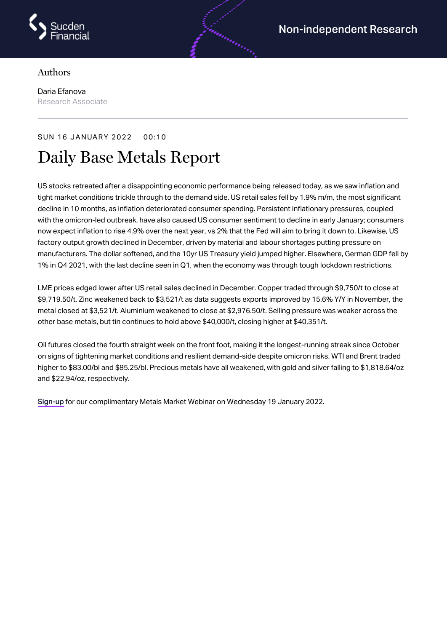

## Authors

Daria Efanova Research Associate

## SUN 16 JANUARY 2022 00:10

# Daily Base Metals Report

US stocks retreated after a disappointing economic performance being released today, as we saw inflation and tight market conditions trickle through to the demand side. US retail sales fell by 1.9% m/m, the most significant decline in 10 months, as inflation deteriorated consumer spending. Persistent inflationary pressures, coupled with the omicron-led outbreak, have also caused US consumer sentiment to decline in early January; consumers now expect inflation to rise 4.9% over the next year, vs 2% that the Fed will aim to bring it down to. Likewise, US factory output growth declined in December, driven by material and labour shortages putting pressure on manufacturers. The dollar softened, and the 10yr US Treasury yield jumped higher. Elsewhere, German GDP fell by 1% in Q4 2021, with the last decline seen in Q1, when the economy was through tough lockdown restrictions.

androning

LME prices edged lower after US retail sales declined in December. Copper traded through \$9,750/t to close at \$9,719.50/t. Zinc weakened back to \$3,521/t as data suggests exports improved by 15.6% Y/Y in November, the metal closed at \$3,521/t. Aluminium weakened to close at \$2,976.50/t. Selling pressure was weaker across the other base metals, but tin continues to hold above \$40,000/t, closing higher at \$40,351/t.

Oil futures closed the fourth straight week on the front foot, making it the longest-running streak since October on signs of tightening market conditions and resilient demand-side despite omicron risks. WTI and Brent traded higher to \$83.00/bl and \$85.25/bl. Precious metals have all weakened, with gold and silver falling to \$1,818.64/oz and \$22.94/oz, respectively.

[Sign-up](https://us02web.zoom.us/webinar/register/7316243706063/WN_FcZGLrSTRaaDpsV8T-FHzA) for our complimentary Metals Market Webinar on Wednesday 19 January 2022.